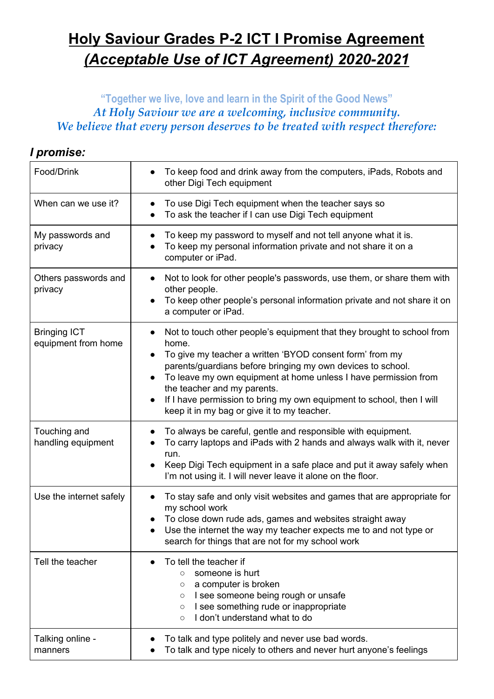## **Holy Saviour Grades P-2 ICT I Promise Agreement** *(Acceptable Use of ICT Agreement) 2020-2021*

## **"Together we live, love and learn in the Spirit of the Good News"** *At Holy Saviour we are a welcoming, inclusive community. We believe that every person deserves to be treated with respect therefore:*

## *I promise:*

| Food/Drink                                 | To keep food and drink away from the computers, iPads, Robots and<br>other Digi Tech equipment                                                                                                                                                                                                                                                                                                                                                    |  |
|--------------------------------------------|---------------------------------------------------------------------------------------------------------------------------------------------------------------------------------------------------------------------------------------------------------------------------------------------------------------------------------------------------------------------------------------------------------------------------------------------------|--|
| When can we use it?                        | To use Digi Tech equipment when the teacher says so<br>$\bullet$<br>To ask the teacher if I can use Digi Tech equipment                                                                                                                                                                                                                                                                                                                           |  |
| My passwords and<br>privacy                | To keep my password to myself and not tell anyone what it is.<br>To keep my personal information private and not share it on a<br>computer or iPad.                                                                                                                                                                                                                                                                                               |  |
| Others passwords and<br>privacy            | Not to look for other people's passwords, use them, or share them with<br>$\bullet$<br>other people.<br>To keep other people's personal information private and not share it on<br>a computer or iPad.                                                                                                                                                                                                                                            |  |
| <b>Bringing ICT</b><br>equipment from home | Not to touch other people's equipment that they brought to school from<br>home.<br>To give my teacher a written 'BYOD consent form' from my<br>parents/guardians before bringing my own devices to school.<br>To leave my own equipment at home unless I have permission from<br>$\bullet$<br>the teacher and my parents.<br>If I have permission to bring my own equipment to school, then I will<br>keep it in my bag or give it to my teacher. |  |
| Touching and<br>handling equipment         | To always be careful, gentle and responsible with equipment.<br>To carry laptops and iPads with 2 hands and always walk with it, never<br>run.<br>Keep Digi Tech equipment in a safe place and put it away safely when<br>I'm not using it. I will never leave it alone on the floor.                                                                                                                                                             |  |
| Use the internet safely                    | To stay safe and only visit websites and games that are appropriate for<br>my school work<br>To close down rude ads, games and websites straight away<br>Use the internet the way my teacher expects me to and not type or<br>search for things that are not for my school work                                                                                                                                                                   |  |
| Tell the teacher                           | To tell the teacher if<br>someone is hurt<br>$\circ$<br>a computer is broken<br>O<br>I see someone being rough or unsafe<br>O<br>I see something rude or inappropriate<br>$\circ$<br>I don't understand what to do<br>$\circ$                                                                                                                                                                                                                     |  |
| Talking online -<br>manners                | To talk and type politely and never use bad words.<br>To talk and type nicely to others and never hurt anyone's feelings                                                                                                                                                                                                                                                                                                                          |  |